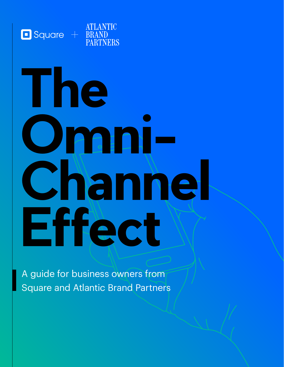

# **The Omni-Channel Effect**

A guide for business owners from Square and Atlantic Brand Partners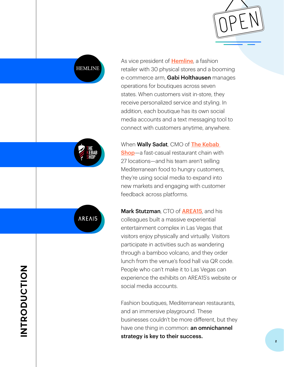

**HEMLINE** 

**®**

**AREAI5** 

As vice president of **[Hemline](https://shophemline.com/)**, a fashion retailer with 30 physical stores and a booming e-commerce arm, **Gabi Holthausen** manages operations for boutiques across seven states. When customers visit in-store, they receive personalized service and styling. In addition, each boutique has its own social media accounts and a text messaging tool to connect with customers anytime, anywhere.

When Wally Sadat, CMO of The Kebab

[Shop](https://thekebabshop.com/)-a fast-casual restaurant chain with 27 locations—and his team aren't selling Mediterranean food to hungry customers, they're using social media to expand into new markets and engaging with customer feedback across platforms.

Mark Stutzman, CTO of **[AREA15](https://area15.com/)**, and his colleagues built a massive experiential entertainment complex in Las Vegas that visitors enjoy physically and virtually. Visitors participate in activities such as wandering through a bamboo volcano, and they order lunch from the venue's food hall via QR code. People who can't make it to Las Vegas can experience the exhibits on AREA15's website or social media accounts.

Fashion boutiques, Mediterranean restaurants, and an immersive playground. These businesses couldn't be more different, but they have one thing in common: **an omnichannel** strategy is key to their success.

## **INTRODUCTION INTRODUCTION**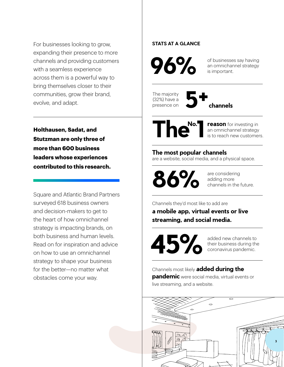For businesses looking to grow, expanding their presence to more channels and providing customers with a seamless experience across them is a powerful way to bring themselves closer to their communities, grow their brand, evolve, and adapt.

**Holthausen, Sadat, and Stutzman are only three of more than 600 business leaders whose experiences contributed to this research.** 

Square and Atlantic Brand Partners surveyed 618 business owners and decision-makers to get to the heart of how omnichannel strategy is impacting brands, on both business and human levels. Read on for inspiration and advice on how to use an omnichannel strategy to shape your business for the better—no matter what obstacles come your way.

#### **STATS AT A GLANCE**

**96%** 

of businesses say having an omnichannel strategy is important.

The majority (32%) have a presence on

**5+ channels**



an omnichannel strategy is to reach new customers.

#### **The most popular channels**

are a website, social media, and a physical space.



are considering adding more channels in the future.

Channels they'd most like to add are **a mobile app, virtual events or live streaming, and social media.** 

**45%** 

added new channels to their business during the coronavirus pandemic.

Channels most likely **added during the pandemic** were social media, virtual events or live streaming, and a website.

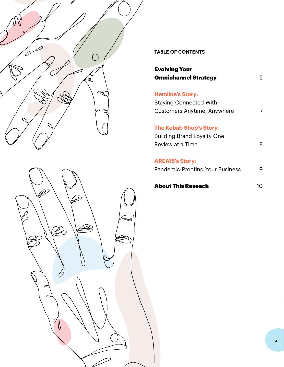



#### **TABLE OF CONTENTS**

| <b>Evolving Your</b>        |   |
|-----------------------------|---|
| <b>Omnichannel Strategy</b> | 5 |
|                             |   |

**Hemline's Story:** Staying Connected With Customers Anytime, Anywhere 7

**The Kebab Shop's Story**: Building Brand Loyalty One Review at a Time 8

**AREA15's Story:**

Pandemic-Proofing Your Business 9

About This Reseach 10

**4**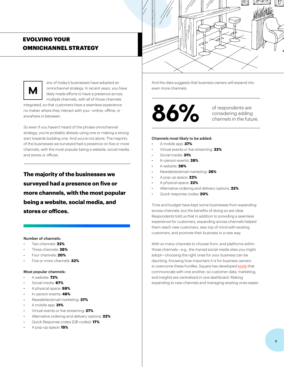

**M**



integrated, so that customers have a seamless experience no matter where they interact with you—online, offline, or anywhere in between.

So even if you haven't heard of the phrase omnichannel strategy, you're probably already using one or making a strong start towards building one. And you're not alone. The majority of the businesses we surveyed had a presence on five or more channels, with the most popular being a website, social media, and stores or offices.

**The majority of the businesses we surveyed had a presence on five or more channels, with the most popular being a website, social media, and stores or offices.**

#### Number of channels:

- Two channels: **22%**
- Three channels: **26%**
- Four channels: **20%**
- Five or more channels: **32%**

#### Most popular channels:

- A website: **72%**
- Social media: **67%**
- A physical space: **59%**
- In-person events: **46%**
- Newsletter/email marketing: **37%**
- A mobile app: **31%**
- Virtual events or live streaming: **27%**
- Alternative ordering and delivery options: **22%**
- Quick Response codes (QR codes): **17%**
- A pop-up space: **15%**





considering adding channels in the future.

#### Channels most likely to be added:

- A mobile app: **37%**
- Virtual events or live streaming: **32%**
- Social media: **31%**
- In-person events: **28%**
- A website: **26%**
- Newsletter/email marketing: **26%**
- A pop-up space: **22%**
- A physical space: **22%**
- Alternative ordering and delivery options: **22%**
- Quick response codes: **20%**

Time and budget have kept some businesses from expanding across channels, but the benefits of doing so are clear. Respondents told us that in addition to providing a seamless experience for customers, expanding across channels helped them reach new customers, stay top of mind with existing customers, and promote their business in a new way.

With so many channels to choose from, and platforms within those channels—e.g., the myriad social media sites you might adopt—choosing the right ones for your business can be daunting. Knowing how important it is for business owners to overcome these hurdles, Square has developed [tools](https://www.theatlantic.com/sponsored/square-2021/omnichannel/3689/) that communicate with one another, so customer data, marketing, and insights are centralized in one dashboard. Making expanding to new channels and managing existing ones easier.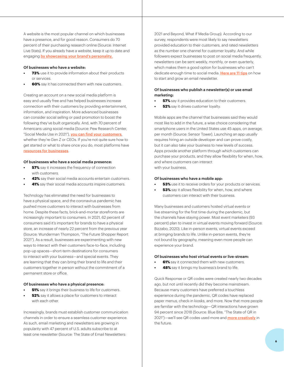A website is the most popular channel on which businesses have a presence, and for good reason. Consumers do 70 percent of their purchasing research online (Source: Internet Live Stats). If you already have a website, keep it up to date and engaging [by showcasing your brand's personality.](https://squareup.com/t/f_online/d_branded_content/p_atlantic/c_branding/o_largeseller_whitepaper_showcasingbrandpersonality/u_largeseller_core/l_us/dt_alldevice/pr_cross_product/?route=/us/en/townsquare/showcase-your-brand-personality-online)

#### Of businesses who have a website:

- **• 73%** use it to provide information about their products or services.
- **60%** say it has connected them with new customers.

Creating an account on a new social media platform is easy and usually free and has helped businesses increase connection with their customers by providing entertainment, information, and inspiration. More advanced businesses can consider social selling or paid promotion to boost the following they've built organically. And, with 70 percent of Americans using social media (Source: Pew Research Center, "Social Media Use in 2021"), [you can find your customers](https://www.pewresearch.org/internet/2021/04/07/social-media-use-in-2021/), whether they're Gen Z or CEOs. If you're not quite sure how to get started or what to share once you do, most platforms have [resources for businesses](https://business.linkedin.com/marketing-solutions/linkedin-pages).

#### Of businesses who have a social media presence:

- **57%** say it increases the frequency of connection with customers.
- **• 42%** say their social media accounts entertain customers.
- **41%** say their social media accounts inspire customers.

Technology has eliminated the need for businesses to have a physical space, and the coronavirus pandemic has pushed more customers to interact with businesses from home. Despite these facts, brick-and-mortar storefronts are increasingly important to consumers. In 2021, 62 percent of consumers said it's important for brands to have a physical store, an increase of nearly 22 percent from the previous year (Source: Wunderman Thompson, "The Future Shopper Report 2021"). As a result, businesses are experimenting with new ways to interact with their customers face-to-face, including pop-up spaces—short-term destinations for consumers to interact with your business—and special events. They are learning that they can bring their brand to life and their customers together in person without the commitment of a permanent store or office.

#### Of businesses who have a physical presence:

- **51%** say it brings their business to life for customers.
- **• 52%** say it allows a place for customers to interact with each other.

Increasingly, brands must establish customer communication channels in order to ensure a seamless customer experience. As such, email marketing and newsletters are growing in popularity with 47 percent of U.S. adults subscribe to at least one newsletter (Source: The State of Email Newsletters:

2021 and Beyond, What If Media Group). According to our survey, respondents were most likely to say newsletters provided education to their customers, and rated newsletters as the number one channel for customer loyalty. And while followers expect businesses to post on social media frequently, newsletters can be sent weekly, monthly, or even quarterly, which makes them a good option for businesses who can't dedicate enough time to social media. [Here are 11 tips](https://squareup.com/t/f_online/d_branded_content/p_atlantic/c_branding/o_largeseller_whitepaper_11tips/u_largeseller_core/l_us/dt_alldevice/pr_cross_product/?route=/us/en/townsquare/how-to-make-a-newsletter) on how to start and grow an email newsletter.

#### Of businesses who publish a newsletter(s) or use email marketing:

- **57%** say it provides education to their customers.
- **52%** say it drives customer loyalty.

Mobile apps are the channel that businesses said they would most like to add in the future, a wise choice considering that smartphone users in the United States use 45 apps, on average, per month (Source: Sensor Tower). Launching an app usually requires hiring an outside developer and can prove costly, but it can also take your business to new levels of success. Apps provide another platform through which customers can purchase your products, and they allow flexibility for when, how, and where customers can interact with your business.

#### Of businesses who have a mobile app:

- **53%** use it to receive orders for your products or services.
- **53%** say it allows flexibility for when, how, and where customers can interact with their business.

Many businesses and customers hosted virtual events or live streaming for the first time during the pandemic, but the channels have staying power. Most event marketers (93 percent) plan to invest in virtual events moving forward (Source: Bizzabo, 2020). Like in-person events, virtual events exceed at bringing brands to life. Unlike in-person events, they're not bound by geography, meaning even more people can experience your brand.

#### Of businesses who host virtual events or live-stream:

- **61%** say it connected them with new customers.
- **48%** say it brings my business's brand to life.

Quick Response or QR codes were created nearly two decades ago, but not until recently did they become mainstream. Because many customers have preferred a touchless experience during the pandemic, QR codes have replaced paper menus, check-in kiosks, and more. Now that more people are familiar with the technology—QR interactions have grown 94 percent since 2018 (Source: Blue Bite, "The State of QR in 2021")—we'll see QR codes used more and **[more creatively](https://squareup.com/t/f_online/d_branded_content/p_atlantic/c_branding/o_largeseller_whitepaper_morecreatively/u_largeseller_core/l_us/dt_alldevice/pr_cross_product/?route=/us/en/townsquare/creative-ways-to-use-qr-codes)** in the future.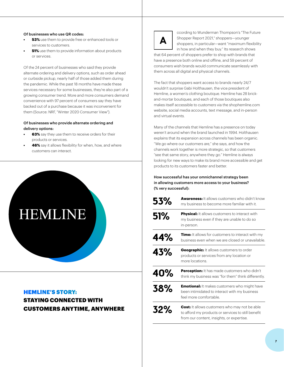#### Of businesses who use QR codes:

- **53%** use them to provide free or enhanced tools or services to customers.
- **51%** use them to provide information about products or services.

Of the 24 percent of businesses who said they provide alternate ordering and delivery options, such as order ahead or curbside pickup, nearly half of those added them during the pandemic. While the past 18 months have made these services necessary for some businesses, they're also part of a growing consumer trend. More and more consumers demand convenience with 97 percent of consumers say they have backed out of a purchase because it was inconvenient for them (Source: NRF, "Winter 2020 Consumer View").

#### Of businesses who provide alternate ordering and delivery options:

- **63%** say they use them to receive orders for their products or services.
- **46%** say it allows flexibility for when, how, and where customers can interact.



#### HEMLINE'S STORY:

STAYING CONNECTED WITH CUSTOMERS ANYTIME, ANYWHERE



ccording to Wunderman Thompson's "The Future Shopper Report 2021," shoppers—younger shoppers, in particular—want "maximum flexibility in how and when they buy." Its research shows

that 64 percent of shoppers prefer to shop with brands that have a presence both online and offline, and 59 percent of consumers wish brands would communicate seamlessly with them across all digital and physical channels.

The fact that shoppers want access to brands nearly 24/7 wouldn't surprise Gabi Holthausen, the vice president of Hemline, a women's clothing boutique. Hemline has 28 brickand-mortar boutiques, and each of those boutiques also makes itself accessible to customers via the shophemline.com website, social media accounts, text message, and in-person and virtual events.

Many of the channels that Hemline has a presence on today weren't around when the brand launched in 1994. Holthausen explains that its expansion across channels has been organic. "We go where our customers are," she says, and how the channels work together is more strategic, so that customers "see that same story, anywhere they go." Hemline is always looking for new ways to make its brand more accessible and get products to its customers faster and better.

#### How successful has your omnichannel strategy been in allowing customers more access to your business? (% very successful):

| 53% | <b>Awareness:</b> It allows customers who didn't know<br>my business to become more familiar with it.                                                   |
|-----|---------------------------------------------------------------------------------------------------------------------------------------------------------|
| 51% | <b>Physical:</b> It allows customers to interact with<br>my business even if they are unable to do so<br>in-person.                                     |
| 44% | Time: It allows for customers to interact with my<br>business even when we are closed or unavailable.                                                   |
| 43% | <b>Geographic:</b> It allows customers to order<br>products or services from any location or<br>more locations.                                         |
| 40% | Perception: It has made customers who didn't<br>think my business was "for them" think differently.                                                     |
| 38% | <b>Emotional:</b> It makes customers who might have<br>been intimidated to interact with my business<br>feel more comfortable.                          |
| 32% | <b>Cost:</b> It allows customers who may not be able<br>to afford my products or services to still benefit<br>from our content, insights, or expertise. |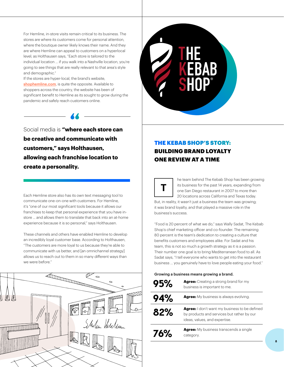For Hemline, in-store visits remain critical to its business. The stores are where its customers come for personal attention, where the boutique owner likely knows their name. And they are where Hemline can appeal to customers on a hyperlocal level; as Holthausen says, "Each store is tailored to the individual location … if you walk into a Nashville location, you're going to see things that are really relevant to that area's style and demographic."

If the stores are hyper-local, the brand's website, [shophemline.com](http://shophemline.com), is quite the opposite. Available to shoppers across the country, the website has been of significant benefit to Hemline as its sought to grow during the pandemic and safely reach customers online.

Social media is **"where each store can " be creative and communicate with customers," says Holthausen, allowing each franchise location to create a personality.** 

Each Hemline store also has its own text messaging tool to communicate one-on-one with customers. For Hemline, it's "one of our most significant tools because it allows our franchises to keep that personal experience that you have instore ... and allows them to translate that back into an at-home experience because it is so personal," says Holthausen.

These channels and others have enabled Hemline to develop an incredibly loyal customer base. According to Holthausen, "The customers are more loyal to us because they're able to communicate with us better, and [an omnichannel strategy] allows us to reach out to them in so many different ways than we were before."





#### THE KEBAB SHOP'S STORY: BUILDING BRAND LOYALTY ONE REVIEW AT A TIME



he team behind The Kebab Shop has been growing its business for the past 14 years, expanding from one San Diego restaurant in 2007 to more than 20 locations across California and Texas today.

But, in reality, it wasn't just a business the team was growing; it was brand loyalty, and that played a massive role in the business's success.

"Food is 20 percent of what we do," says Wally Sadat, The Kebab Shop's chief marketing officer and co-founder. The remaining 80 percent is the team's dedication to creating a culture that benefits customers and employees alike. For Sadat and his team, this is not so much a growth strategy as it is a passion. Their number one goal is to bring Mediterranean food to all. As Sadat says, "I tell everyone who wants to get into the restaurant business … you genuinely have to love people eating your food."

#### Growing a business means growing a brand.

| 95%    | <b>Agree:</b> Creating a strong brand for my<br>business is important to me.                                                        |
|--------|-------------------------------------------------------------------------------------------------------------------------------------|
| 94%    | <b>Agree:</b> My business is always evolving.                                                                                       |
| $82\%$ | <b>Agree:</b> I don't want my business to be defined<br>by products and services but rather by our<br>ideas, values, and expertise. |
| 76%    | <b>Agree:</b> My business transcends a single<br>category.                                                                          |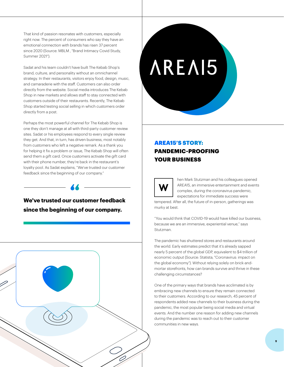That kind of passion resonates with customers, especially right now. The percent of consumers who say they have an emotional connection with brands has risen 37 percent since 2020 (Source: MBLM , "Brand Intimacy Covid Study, Summer 2021").

Sadat and his team couldn't have built The Kebab Shop's brand, culture, and personality without an omnichannel strategy. In their restaurants, visitors enjoy food, design, music, and camaraderie with the staff. Customers can also order directly from the website. Social media introduces The Kebab Shop in new markets and allows staff to stay connected with customers outside of their restaurants. Recently, The Kebab Shop started testing social selling in which customers order directly from a post.

Perhaps the most powerful channel for The Kebab Shop is one they don't manage at all with third-party customer review sites. Sadat or his employees respond to every single review they get. And that, in turn, has driven business, most notably from customers who left a negative remark. As a thank you for helping it fix a problem or issue, The Kebab Shop will often send them a gift card. Once customers activate the gift card with their phone number, they're back in the restaurant's loyalty pool. As Sadat explains, "We've trusted our customer feedback since the beginning of our company."

### **We've trusted our customer feedback**  $\begin{array}{|c|c|c|}\hline \textbf{W} & \textbf{W} \end{array}$ **since the beginning of our company.**





#### AREA15'S STORY: PANDEMIC-PROOFING YOUR BUSINESS



hen Mark Stutzman and his colleagues opened AREA15, an immersive entertainment and events complex, during the coronavirus pandemic, expectations for immediate success were

tempered. After all, the future of in-person, gatherings was murky at best.

"You would think that COVID-19 would have killed our business, because we are an immersive, experiential venue," says Stutzman.

The pandemic has shuttered stores and restaurants around the world. Early estimates predict that it's already sapped nearly 5 percent of the global GDP, equivalent to \$4 trillion of economic output (Source: Statista, "Coronavirus: impact on the global economy"). Without relying solely on brick-andmortar storefronts, how can brands survive and thrive in these challenging circumstances?

One of the primary ways that brands have acclimated is by embracing new channels to ensure they remain connected to their customers. According to our research, 45 percent of respondents added new channels to their business during the pandemic, the most popular being social media and virtual events. And the number one reason for adding new channels during the pandemic was to reach out to their customer communities in new ways.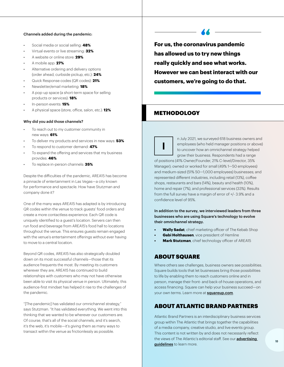#### Channels added during the pandemic:

- Social media or social selling: **48%**
- Virtual events or live streaming: **32%**
- A website or online store: **29%**
- A mobile app: **27%**
- Alternative ordering and delivery options (order ahead, curbside pickup, etc.): **24%**
- Quick Response codes (QR codes): **21%**
- Newsletter/email marketing: **18%**
- A pop-up space (a short-term space for selling products or services): **18%**
- In-person events: **15%**
- A physical space (store, office, salon, etc.): **12%**

#### Why did you add those channels?

- To reach out to my customer community in new ways: **61%**
- To deliver my products and services in new ways: **53%**
- To respond to customer demand: **47%**
- To expand the offering and services that my business provides: **46%**
- To replace in-person channels: **35%**

Despite the difficulties of the pandemic, AREA15 has become a pinnacle of entertainment in Las Vegas—a city known for performance and spectacle. How have Stutzman and company done it?

One of the many ways AREA15 has adapted is by introducing QR codes within the venue to track guests' food orders and create a more contactless experience. Each QR code is uniquely identified to a guest's location. Servers can then run food and beverage from AREA15's food hall to locations throughout the venue. This ensures guests remain engaged with the venue's entertainment offerings without ever having to move to a central location.

Beyond QR codes, AREA15 has also strategically doubled down on its most successful channels—those that its audience frequents the most. By meeting its customers wherever they are, AREA15 has continued to build relationships with customers who may not have otherwise been able to visit its physical venue in person. Ultimately, this audience-first mindset has helped it rise to the challenges of the pandemic.

"[The pandemic] has validated our omnichannel strategy," says Stutzman. "It has validated everything. We went into this thinking that we wanted to be wherever our customers are. Of course, that's all of the social channels, and it's search, it's the web, it's mobile—it's giving them as many ways to transact within the venue as frictionlessly as possible.

**For us, the coronavirus pandemic has allowed us to try new things really quickly and see what works. However we can best interact with our customers, we're going to do that.**

#### METHODOLOGY

n July 2021, we surveyed 618 business owners and employees (who held manager positions or above) to uncover how an omnichannel strategy helped grow their business. Respondents had a range of positions (41% Owner/Founder, 21% C-level/Director, 35% Manager); owned or worked for small (49% 1—50 employees) and medium-sized (51% 50—1,000 employees) businesses; and represented different industries, including retail (13%), coffee shops, restaurants and bars (14%), beauty and health (10%), home and repair (7%), and professional services (33%). Results from the full survey have a margin of error of +/- 3.9% and a confidence level of 95%. **I**

In addition to the survey, we interviewed leaders from three businesses who are using Square's technology to evolve their omnichannel strategy.

- **• Wally Sadat**, chief marketing officer of The Kebab Shop
- **• Gabi Holthausen**, vice president of Hemline
- **• Mark Stutzman**, chief technology officer of AREA15

#### ABOUT SQUARE

Where others see challenges, business owners see possibilities. Square builds tools that let businesses bring those possibilities to life by enabling them to reach customers online and in person, manage their front- and back-of-house operations, and access financing. Square can help your business succeed—on your own terms. Learn more at **[squareup.com](https://squareup.com/t/f_online/d_branded_content/p_atlantic/c_branding/o_largeseller_whitepaper_squareup/u_largeseller_core/l_us/dt_alldevice/pr_cross_product/?route=/us/en)**.

#### ABOUT ATLANTIC BRAND PARTNERS

Atlantic Brand Partners is an interdisciplinary business services group within The Atlantic that brings together the capabilities of a media company, creative studio, and live events group. This content is not written by and does not necessarily reflect the views of The Atlantic's editorial staff. See our **advertising** [guidelines](https://cdn.theatlantic.com/media/files/atlantic_advertising_guidelines_-_april_2021.pdf) to learn more.